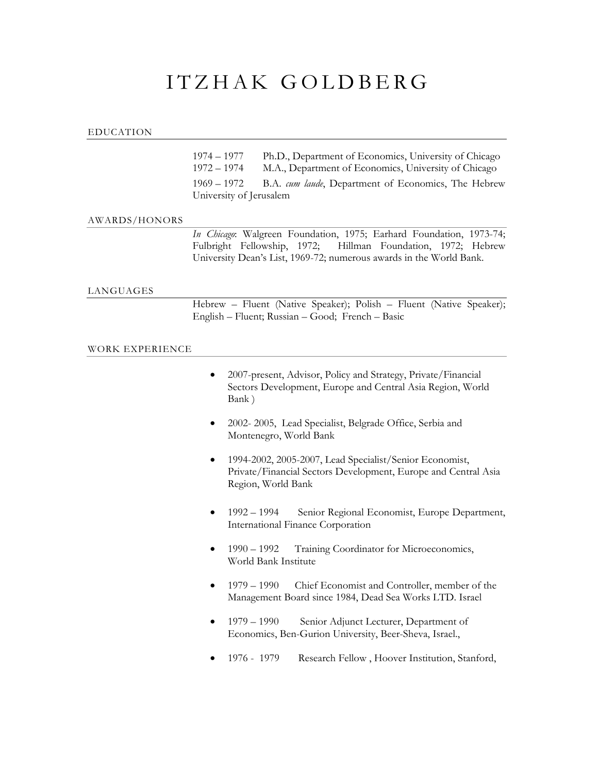# ITZHAK GOLDBERG

## EDUCATION

1974 – 1977 Ph.D., Department of Economics, University of Chicago 1972 – 1974 M.A., Department of Economics, University of Chicago 1969 – 1972 B.A. *cum laude*, Department of Economics, The Hebrew University of Jerusalem

## AWARDS/HONORS

*In Chicago*: Walgreen Foundation, 1975; Earhard Foundation, 1973-74; Fulbright Fellowship, 1972; Hillman Foundation, 1972; Hebrew University Dean's List, 1969-72; numerous awards in the World Bank.

#### LANGUAGES

Hebrew – Fluent (Native Speaker); Polish – Fluent (Native Speaker); English – Fluent; Russian – Good; French – Basic

#### WORK EXPERIENCE

| 2007-present, Advisor, Policy and Strategy, Private/Financial |
|---------------------------------------------------------------|
| Sectors Development, Europe and Central Asia Region, World    |
| Bank)                                                         |

- 2002- 2005, Lead Specialist, Belgrade Office, Serbia and Montenegro, World Bank
- 1994-2002, 2005-2007, Lead Specialist/Senior Economist, Private/Financial Sectors Development, Europe and Central Asia Region, World Bank
- 1992 1994 Senior Regional Economist, Europe Department, International Finance Corporation
- 1990 1992 Training Coordinator for Microeconomics, World Bank Institute
- 1979 1990 Chief Economist and Controller, member of the Management Board since 1984, Dead Sea Works LTD. Israel
- 1979 1990 Senior Adjunct Lecturer, Department of Economics, Ben-Gurion University, Beer-Sheva, Israel.,
- 1976 1979 Research Fellow , Hoover Institution, Stanford,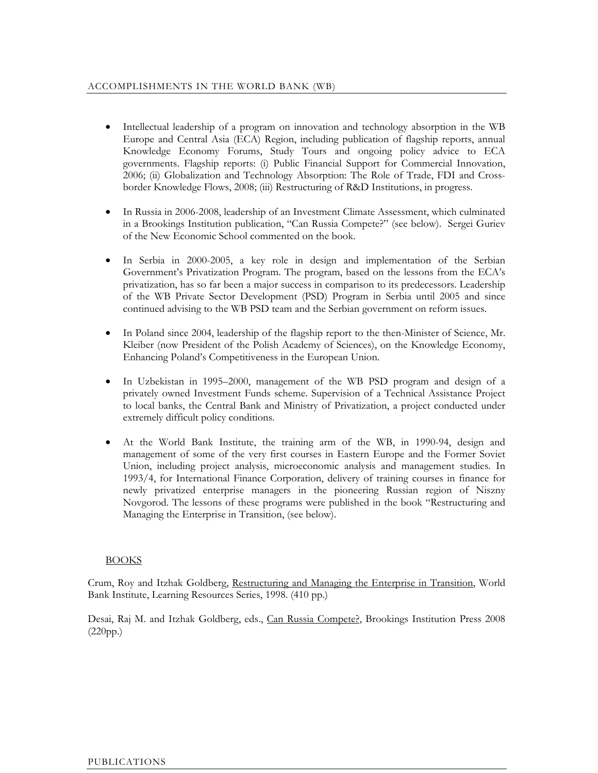- Intellectual leadership of a program on innovation and technology absorption in the WB Europe and Central Asia (ECA) Region, including publication of flagship reports, annual Knowledge Economy Forums, Study Tours and ongoing policy advice to ECA governments. Flagship reports: (i) Public Financial Support for Commercial Innovation, 2006; (ii) Globalization and Technology Absorption: The Role of Trade, FDI and Crossborder Knowledge Flows, 2008; (iii) Restructuring of R&D Institutions, in progress.
- In Russia in 2006-2008, leadership of an Investment Climate Assessment, which culminated in a Brookings Institution publication, "Can Russia Compete?" (see below). Sergei Guriev of the New Economic School commented on the book.
- In Serbia in 2000-2005, a key role in design and implementation of the Serbian Government's Privatization Program. The program, based on the lessons from the ECA's privatization, has so far been a major success in comparison to its predecessors. Leadership of the WB Private Sector Development (PSD) Program in Serbia until 2005 and since continued advising to the WB PSD team and the Serbian government on reform issues.
- In Poland since 2004, leadership of the flagship report to the then-Minister of Science, Mr. Kleiber (now President of the Polish Academy of Sciences), on the Knowledge Economy, Enhancing Poland's Competitiveness in the European Union.
- In Uzbekistan in 1995–2000, management of the WB PSD program and design of a privately owned Investment Funds scheme. Supervision of a Technical Assistance Project to local banks, the Central Bank and Ministry of Privatization, a project conducted under extremely difficult policy conditions.
- At the World Bank Institute, the training arm of the WB, in 1990-94, design and management of some of the very first courses in Eastern Europe and the Former Soviet Union, including project analysis, microeconomic analysis and management studies. In 1993/4, for International Finance Corporation, delivery of training courses in finance for newly privatized enterprise managers in the pioneering Russian region of Niszny Novgorod. The lessons of these programs were published in the book "Restructuring and Managing the Enterprise in Transition, (see below).

# **BOOKS**

Crum, Roy and Itzhak Goldberg, Restructuring and Managing the Enterprise in Transition, World Bank Institute, Learning Resources Series, 1998. (410 pp.)

Desai, Raj M. and Itzhak Goldberg, eds., Can Russia Compete?, Brookings Institution Press 2008  $(220pp.)$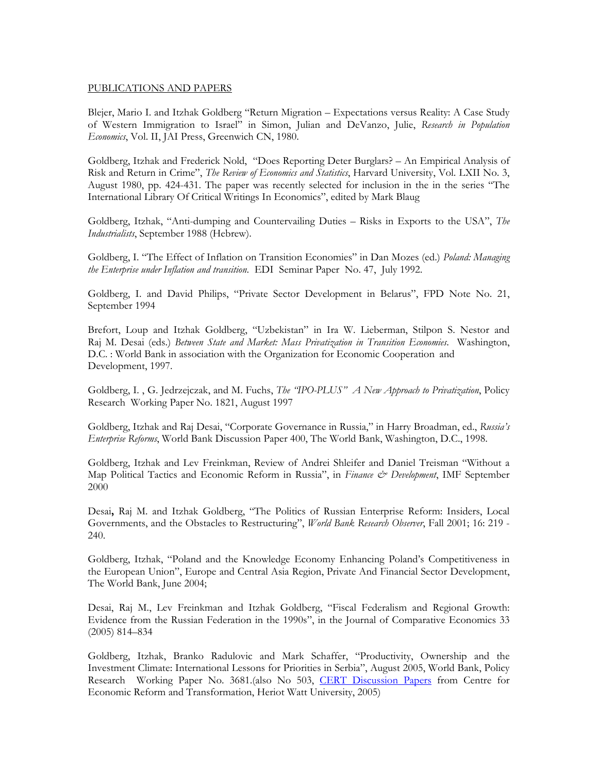#### PUBLICATIONS AND PAPERS

Blejer, Mario I. and Itzhak Goldberg "Return Migration – Expectations versus Reality: A Case Study of Western Immigration to Israel" in Simon, Julian and DeVanzo, Julie, *Research in Population Economics*, Vol. II, JAI Press, Greenwich CN, 1980.

Goldberg, Itzhak and Frederick Nold, "Does Reporting Deter Burglars? – An Empirical Analysis of Risk and Return in Crime", *The Review of Economics and Statistics*, Harvard University, Vol. LXII No. 3, August 1980, pp. 424-431. The paper was recently selected for inclusion in the in the series "The International Library Of Critical Writings In Economics", edited by Mark Blaug

Goldberg, Itzhak, "Anti-dumping and Countervailing Duties – Risks in Exports to the USA", *The Industrialists*, September 1988 (Hebrew).

Goldberg, I. "The Effect of Inflation on Transition Economies" in Dan Mozes (ed.) *Poland: Managing the Enterprise under Inflation and transition*. EDI Seminar Paper No. 47, July 1992.

Goldberg, I. and David Philips, "Private Sector Development in Belarus", FPD Note No. 21, September 1994

Brefort, Loup and Itzhak Goldberg, "Uzbekistan" in Ira W. Lieberman, Stilpon S. Nestor and Raj M. Desai (eds.) *Between State and Market: Mass Privatization in Transition Economies*. Washington, D.C. : World Bank in association with the Organization for Economic Cooperation and Development, 1997.

Goldberg, I. , G. Jedrzejczak, and M. Fuchs, *The "IPO-PLUS" A New Approach to Privatization*, Policy Research Working Paper No. 1821, August 1997

Goldberg, Itzhak and Raj Desai, "Corporate Governance in Russia," in Harry Broadman, ed., *Russia's Enterprise Reforms*, World Bank Discussion Paper 400, The World Bank, Washington, D.C., 1998.

Goldberg, Itzhak and Lev Freinkman, Review of Andrei Shleifer and Daniel Treisman "Without a Map Political Tactics and Economic Reform in Russia", in *Finance & Development*, IMF September 2000

Desai**,** Raj M. and Itzhak Goldberg, "The Politics of Russian Enterprise Reform: Insiders, Local Governments, and the Obstacles to Restructuring", *World Bank Research Observer*, Fall 2001; 16: 219 - 240.

Goldberg, Itzhak, "Poland and the Knowledge Economy Enhancing Poland's Competitiveness in the European Union", Europe and Central Asia Region, Private And Financial Sector Development, The World Bank, June 2004;

Desai, Raj M., Lev Freinkman and Itzhak Goldberg, "Fiscal Federalism and Regional Growth: Evidence from the Russian Federation in the 1990s", in the Journal of Comparative Economics 33 (2005) 814–834

Goldberg, Itzhak, Branko Radulovic and Mark Schaffer, "Productivity, Ownership and the Investment Climate: International Lessons for Priorities in Serbia", August 2005, World Bank, Policy Research Working Paper No. 3681.(also No 503, [CERT Discussion Papers](http://econpapers.repec.org/paper/hwecertdp/) from [Centre for](http://www.som.hw.ac.uk/cert/)  [Economic Reform and Transformation, Heriot Watt University,](http://www.som.hw.ac.uk/cert/) 2005)